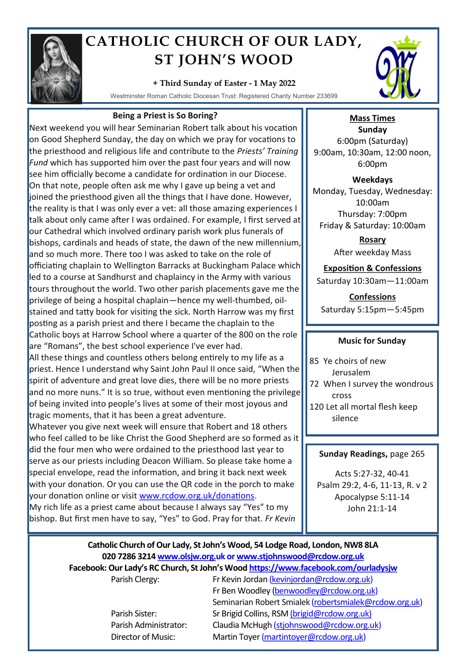

# **CATHOLIC CHURCH OF OUR LADY, ST JOHN'S WOOD**

## **+ Third Sunday of Easter - 1 May 2022**

Westminster Roman Catholic Diocesan Trust: Registered Charity Number 233699

### **Being a Priest is So Boring?**

Next weekend you will hear Seminarian Robert talk about his vocation on Good Shepherd Sunday, the day on which we pray for vocations to the priesthood and religious life and contribute to the *Priests' Training Fund* which has supported him over the past four years and will now see him officially become a candidate for ordination in our Diocese. On that note, people often ask me why I gave up being a vet and joined the priesthood given all the things that I have done. However, the reality is that I was only ever a vet: all those amazing experiences I talk about only came after I was ordained. For example, I first served at our Cathedral which involved ordinary parish work plus funerals of bishops, cardinals and heads of state, the dawn of the new millennium, and so much more. There too I was asked to take on the role of officiating chaplain to Wellington Barracks at Buckingham Palace which led to a course at Sandhurst and chaplaincy in the Army with various tours throughout the world. Two other parish placements gave me the privilege of being a hospital chaplain—hence my well-thumbed, oilstained and tatty book for visiting the sick. North Harrow was my first posting as a parish priest and there I became the chaplain to the Catholic boys at Harrow School where a quarter of the 800 on the role are "Romans", the best school experience I've ever had. All these things and countless others belong entirely to my life as a priest. Hence I understand why Saint John Paul II once said, "When the spirit of adventure and great love dies, there will be no more priests and no more nuns." It is so true, without even mentioning the privilege of being invited into people's lives at some of their most joyous and tragic moments, that it has been a great adventure.

Whatever you give next week will ensure that Robert and 18 others who feel called to be like Christ the Good Shepherd are so formed as it did the four men who were ordained to the priesthood last year to serve as our priests including Deacon William. So please take home a special envelope, read the information, and bring it back next week with your donation. Or you can use the QR code in the porch to make your donation online or visit [www.rcdow.org.uk/donations.](http://www.rcdow.org.uk/donations) My rich life as a priest came about because I always say "Yes" to my bishop. But first men have to say, "Yes" to God. Pray for that. *Fr Kevin*



# **Mass Times**

**Sunday** 6:00pm (Saturday) 9:00am, 10:30am, 12:00 noon, 6:00pm

**Weekdays** Monday, Tuesday, Wednesday: 10:00am Thursday: 7:00pm Friday & Saturday: 10:00am

> **Rosary** After weekday Mass

# **Exposition & Confessions**

Saturday 10:30am—11:00am

**Confessions**  Saturday 5:15pm—5:45pm

#### **Music for Sunday**

- 85 Ye choirs of new Jerusalem
- 72 When I survey the wondrous cross
- 120 Let all mortal flesh keep silence

#### **Sunday Readings,** page 265

Acts 5:27-32, 40-41 Psalm 29:2, 4-6, 11-13, R. v 2 Apocalypse 5:11-14 John 21:1-14

# **Catholic Church of Our Lady, St John's Wood, 54 Lodge Road, London, NW8 8LA 020 7286 3214 www.olsjw.org.uk or www.stjohnswood@rcdow.org.uk Facebook: Our Lady's RC Church, St John's Wood https://www.facebook.com/ourladysjw**

Parish Clergy: Fr Kevin Jordan (kevinjordan@rcdow.org.uk) Fr Ben Woodley (benwoodley@rcdow.org.uk) Seminarian Robert Smialek (robertsmialek@rcdow.org.uk) Parish Sister: Sr Brigid Collins, RSM (brigid@rcdow.org.uk) Parish Administrator: Claudia McHugh (stjohnswood@rcdow.org.uk) Director of Music: Martin Toyer (martintoyer@rcdow.org.uk)